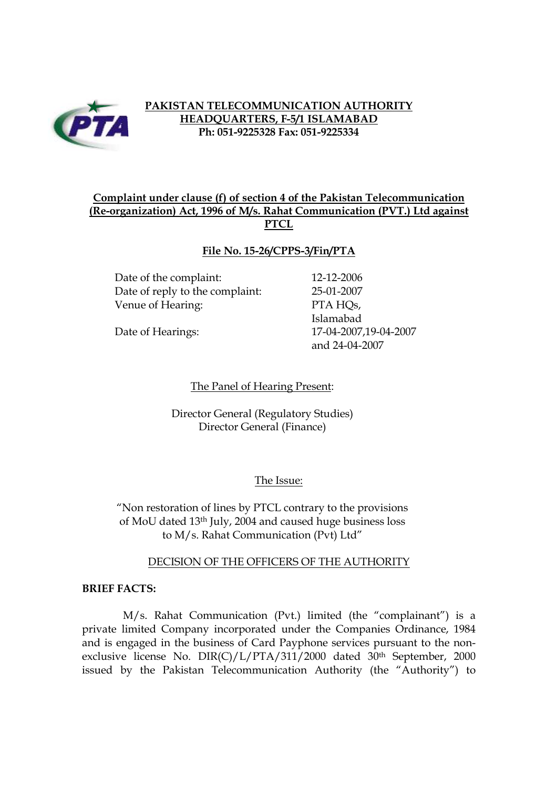

# **PAKISTAN TELECOMMUNICATION AUTHORITY HEADQUARTERS, F-5/1 ISLAMABAD Ph: 051-9225328 Fax: 051-9225334**

# **Complaint under clause (f) of section 4 of the Pakistan Telecommunication (Re-organization) Act, 1996 of M/s. Rahat Communication (PVT.) Ltd against PTCL**

## **File No. 15-26/CPPS-3/Fin/PTA**

Date of the complaint: 12-12-2006 Date of reply to the complaint: 25-01-2007 Venue of Hearing: PTA HQs,

Islamabad Date of Hearings: 17-04-2007,19-04-2007 and 24-04-2007

The Panel of Hearing Present:

Director General (Regulatory Studies) Director General (Finance)

### The Issue:

"Non restoration of lines by PTCL contrary to the provisions of MoU dated 13th July, 2004 and caused huge business loss to M/s. Rahat Communication (Pvt) Ltd"

#### DECISION OF THE OFFICERS OF THE AUTHORITY

#### **BRIEF FACTS:**

M/s. Rahat Communication (Pvt.) limited (the "complainant") is a private limited Company incorporated under the Companies Ordinance, 1984 and is engaged in the business of Card Payphone services pursuant to the nonexclusive license No. DIR(C)/L/PTA/311/2000 dated 30<sup>th</sup> September, 2000 issued by the Pakistan Telecommunication Authority (the "Authority") to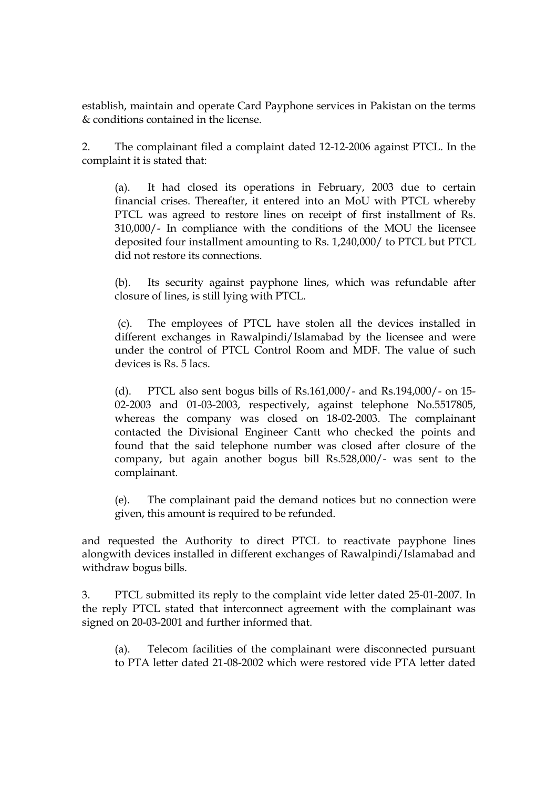establish, maintain and operate Card Payphone services in Pakistan on the terms & conditions contained in the license.

2. The complainant filed a complaint dated 12-12-2006 against PTCL. In the complaint it is stated that:

(a). It had closed its operations in February, 2003 due to certain financial crises. Thereafter, it entered into an MoU with PTCL whereby PTCL was agreed to restore lines on receipt of first installment of Rs. 310,000/- In compliance with the conditions of the MOU the licensee deposited four installment amounting to Rs. 1,240,000/ to PTCL but PTCL did not restore its connections.

(b). Its security against payphone lines, which was refundable after closure of lines, is still lying with PTCL.

(c). The employees of PTCL have stolen all the devices installed in different exchanges in Rawalpindi/Islamabad by the licensee and were under the control of PTCL Control Room and MDF. The value of such devices is Rs. 5 lacs.

(d). PTCL also sent bogus bills of Rs.161,000/- and Rs.194,000/- on 15- 02-2003 and 01-03-2003, respectively, against telephone No.5517805, whereas the company was closed on 18-02-2003. The complainant contacted the Divisional Engineer Cantt who checked the points and found that the said telephone number was closed after closure of the company, but again another bogus bill Rs.528,000/- was sent to the complainant.

(e). The complainant paid the demand notices but no connection were given, this amount is required to be refunded.

and requested the Authority to direct PTCL to reactivate payphone lines alongwith devices installed in different exchanges of Rawalpindi/Islamabad and withdraw bogus bills.

3. PTCL submitted its reply to the complaint vide letter dated 25-01-2007. In the reply PTCL stated that interconnect agreement with the complainant was signed on 20-03-2001 and further informed that.

(a). Telecom facilities of the complainant were disconnected pursuant to PTA letter dated 21-08-2002 which were restored vide PTA letter dated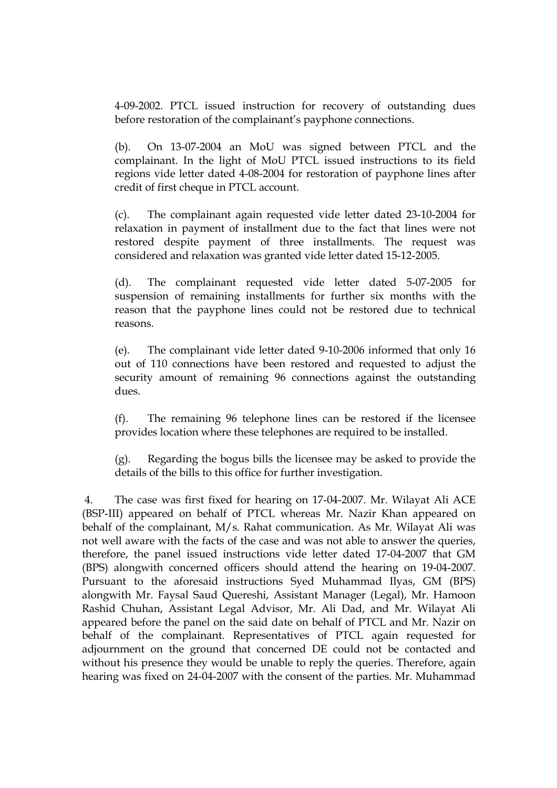4-09-2002. PTCL issued instruction for recovery of outstanding dues before restoration of the complainant's payphone connections.

(b). On 13-07-2004 an MoU was signed between PTCL and the complainant. In the light of MoU PTCL issued instructions to its field regions vide letter dated 4-08-2004 for restoration of payphone lines after credit of first cheque in PTCL account.

(c). The complainant again requested vide letter dated 23-10-2004 for relaxation in payment of installment due to the fact that lines were not restored despite payment of three installments. The request was considered and relaxation was granted vide letter dated 15-12-2005.

(d). The complainant requested vide letter dated 5-07-2005 for suspension of remaining installments for further six months with the reason that the payphone lines could not be restored due to technical reasons.

(e). The complainant vide letter dated 9-10-2006 informed that only 16 out of 110 connections have been restored and requested to adjust the security amount of remaining 96 connections against the outstanding dues.

(f). The remaining 96 telephone lines can be restored if the licensee provides location where these telephones are required to be installed.

(g). Regarding the bogus bills the licensee may be asked to provide the details of the bills to this office for further investigation.

4. The case was first fixed for hearing on 17-04-2007. Mr. Wilayat Ali ACE (BSP-III) appeared on behalf of PTCL whereas Mr. Nazir Khan appeared on behalf of the complainant, M/s. Rahat communication. As Mr. Wilayat Ali was not well aware with the facts of the case and was not able to answer the queries, therefore, the panel issued instructions vide letter dated 17-04-2007 that GM (BPS) alongwith concerned officers should attend the hearing on 19-04-2007. Pursuant to the aforesaid instructions Syed Muhammad Ilyas, GM (BPS) alongwith Mr. Faysal Saud Quereshi, Assistant Manager (Legal), Mr. Hamoon Rashid Chuhan, Assistant Legal Advisor, Mr. Ali Dad, and Mr. Wilayat Ali appeared before the panel on the said date on behalf of PTCL and Mr. Nazir on behalf of the complainant. Representatives of PTCL again requested for adjournment on the ground that concerned DE could not be contacted and without his presence they would be unable to reply the queries. Therefore, again hearing was fixed on 24-04-2007 with the consent of the parties. Mr. Muhammad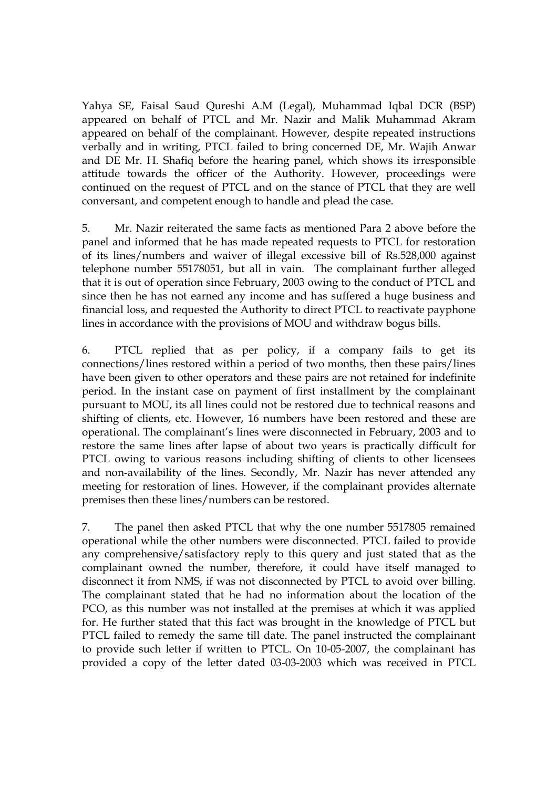Yahya SE, Faisal Saud Qureshi A.M (Legal), Muhammad Iqbal DCR (BSP) appeared on behalf of PTCL and Mr. Nazir and Malik Muhammad Akram appeared on behalf of the complainant. However, despite repeated instructions verbally and in writing, PTCL failed to bring concerned DE, Mr. Wajih Anwar and DE Mr. H. Shafiq before the hearing panel, which shows its irresponsible attitude towards the officer of the Authority. However, proceedings were continued on the request of PTCL and on the stance of PTCL that they are well conversant, and competent enough to handle and plead the case.

5. Mr. Nazir reiterated the same facts as mentioned Para 2 above before the panel and informed that he has made repeated requests to PTCL for restoration of its lines/numbers and waiver of illegal excessive bill of Rs.528,000 against telephone number 55178051, but all in vain. The complainant further alleged that it is out of operation since February, 2003 owing to the conduct of PTCL and since then he has not earned any income and has suffered a huge business and financial loss, and requested the Authority to direct PTCL to reactivate payphone lines in accordance with the provisions of MOU and withdraw bogus bills.

6. PTCL replied that as per policy, if a company fails to get its connections/lines restored within a period of two months, then these pairs/lines have been given to other operators and these pairs are not retained for indefinite period. In the instant case on payment of first installment by the complainant pursuant to MOU, its all lines could not be restored due to technical reasons and shifting of clients, etc. However, 16 numbers have been restored and these are operational. The complainant's lines were disconnected in February, 2003 and to restore the same lines after lapse of about two years is practically difficult for PTCL owing to various reasons including shifting of clients to other licensees and non-availability of the lines. Secondly, Mr. Nazir has never attended any meeting for restoration of lines. However, if the complainant provides alternate premises then these lines/numbers can be restored.

7. The panel then asked PTCL that why the one number 5517805 remained operational while the other numbers were disconnected. PTCL failed to provide any comprehensive/satisfactory reply to this query and just stated that as the complainant owned the number, therefore, it could have itself managed to disconnect it from NMS, if was not disconnected by PTCL to avoid over billing. The complainant stated that he had no information about the location of the PCO, as this number was not installed at the premises at which it was applied for. He further stated that this fact was brought in the knowledge of PTCL but PTCL failed to remedy the same till date. The panel instructed the complainant to provide such letter if written to PTCL. On 10-05-2007, the complainant has provided a copy of the letter dated 03-03-2003 which was received in PTCL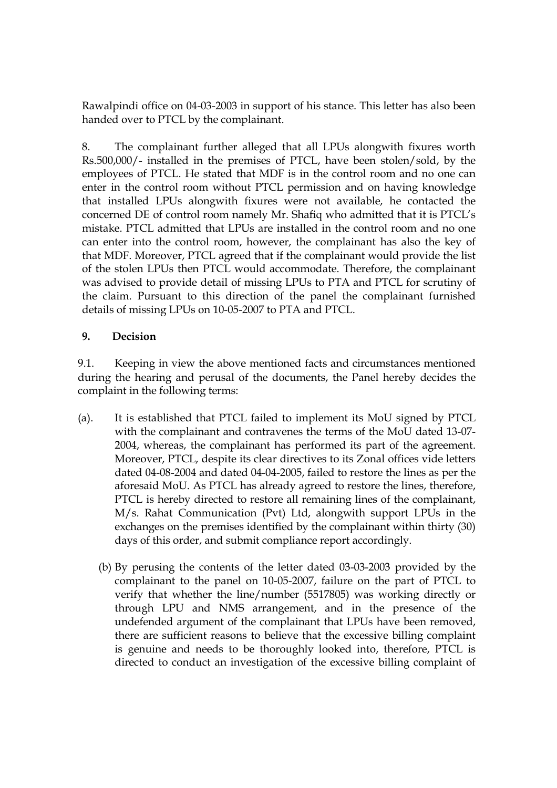Rawalpindi office on 04-03-2003 in support of his stance. This letter has also been handed over to PTCL by the complainant.

8. The complainant further alleged that all LPUs alongwith fixures worth Rs.500,000/- installed in the premises of PTCL, have been stolen/sold, by the employees of PTCL. He stated that MDF is in the control room and no one can enter in the control room without PTCL permission and on having knowledge that installed LPUs alongwith fixures were not available, he contacted the concerned DE of control room namely Mr. Shafiq who admitted that it is PTCL's mistake. PTCL admitted that LPUs are installed in the control room and no one can enter into the control room, however, the complainant has also the key of that MDF. Moreover, PTCL agreed that if the complainant would provide the list of the stolen LPUs then PTCL would accommodate. Therefore, the complainant was advised to provide detail of missing LPUs to PTA and PTCL for scrutiny of the claim. Pursuant to this direction of the panel the complainant furnished details of missing LPUs on 10-05-2007 to PTA and PTCL.

# **9. Decision**

9.1. Keeping in view the above mentioned facts and circumstances mentioned during the hearing and perusal of the documents, the Panel hereby decides the complaint in the following terms:

- (a). It is established that PTCL failed to implement its MoU signed by PTCL with the complainant and contravenes the terms of the MoU dated 13-07- 2004, whereas, the complainant has performed its part of the agreement. Moreover, PTCL, despite its clear directives to its Zonal offices vide letters dated 04-08-2004 and dated 04-04-2005, failed to restore the lines as per the aforesaid MoU. As PTCL has already agreed to restore the lines, therefore, PTCL is hereby directed to restore all remaining lines of the complainant, M/s. Rahat Communication (Pvt) Ltd, alongwith support LPUs in the exchanges on the premises identified by the complainant within thirty (30) days of this order, and submit compliance report accordingly.
	- (b) By perusing the contents of the letter dated 03-03-2003 provided by the complainant to the panel on 10-05-2007, failure on the part of PTCL to verify that whether the line/number (5517805) was working directly or through LPU and NMS arrangement, and in the presence of the undefended argument of the complainant that LPUs have been removed, there are sufficient reasons to believe that the excessive billing complaint is genuine and needs to be thoroughly looked into, therefore, PTCL is directed to conduct an investigation of the excessive billing complaint of